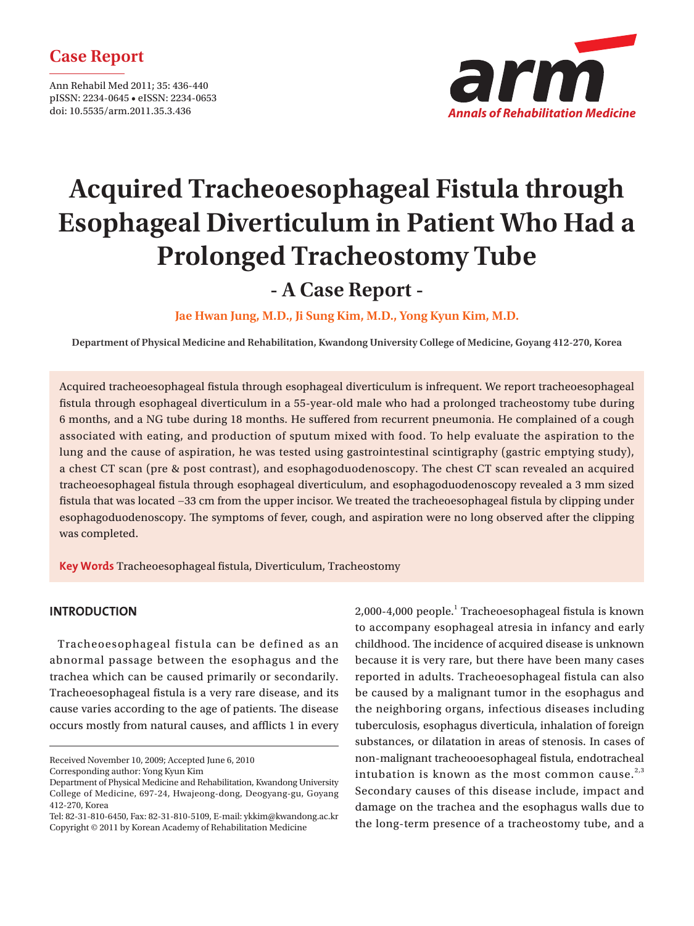### **Case Report**

Ann Rehabil Med 2011; 35: 436-440 pISSN: 2234-0645 • eISSN: 2234-0653 doi: 10.5535/arm.2011.35.3.436



# **Acquired Tracheoesophageal Fistula through Esophageal Diverticulum in Patient Who Had a Prolonged Tracheostomy Tube**

## **- A Case Report -**

**Jae Hwan Jung, M.D., Ji Sung Kim, M.D., Yong Kyun Kim, M.D.**

**Department of Physical Medicine and Rehabilitation, Kwandong University College of Medicine, Goyang 412-270, Korea**

Acquired tracheoesophageal fistula through esophageal diverticulum is infrequent. We report tracheoesophageal fistula through esophageal diverticulum in a 55-year-old male who had a prolonged tracheostomy tube during 6 months, and a NG tube during 18 months. He suffered from recurrent pneumonia. He complained of a cough associated with eating, and production of sputum mixed with food. To help evaluate the aspiration to the lung and the cause of aspiration, he was tested using gastrointestinal scintigraphy (gastric emptying study), a chest CT scan (pre & post contrast), and esophagoduodenoscopy. The chest CT scan revealed an acquired tracheoesophageal fi stula through esophageal diverticulum, and esophagoduodenoscopy revealed a 3 mm sized fistula that was located −33 cm from the upper incisor. We treated the tracheoesophageal fistula by clipping under esophagoduodenoscopy. The symptoms of fever, cough, and aspiration were no long observed after the clipping was completed.

**Key Words** Tracheoesophageal fistula, Diverticulum, Tracheostomy

#### **INTRODUCTION**

 Tracheoesophageal fistula can be defined as an abnormal passage between the esophagus and the trachea which can be caused primarily or secondarily. Tracheoesophageal fistula is a very rare disease, and its cause varies according to the age of patients. The disease occurs mostly from natural causes, and afflicts 1 in every

Received November 10, 2009; Accepted June 6, 2010

Corresponding author: Yong Kyun Kim

2,000-4,000 people.<sup>1</sup> Tracheoesophageal fistula is known to accompany esophageal atresia in infancy and early childhood. The incidence of acquired disease is unknown because it is very rare, but there have been many cases reported in adults. Tracheoesophageal fistula can also be caused by a malignant tumor in the esophagus and the neighboring organs, infectious diseases including tuberculosis, esophagus diverticula, inhalation of foreign substances, or dilatation in areas of stenosis. In cases of non-malignant tracheooesophageal fistula, endotracheal intubation is known as the most common cause. $2,3$ Secondary causes of this disease include, impact and damage on the trachea and the esophagus walls due to the long-term presence of a tracheostomy tube, and a

Department of Physical Medicine and Rehabilitation, Kwandong University College of Medicine, 697-24, Hwajeong-dong, Deogyang-gu, Goyang 412-270, Korea

Tel: 82-31-810-6450, Fax: 82-31-810-5109, E-mail: ykkim@kwandong.ac.kr Copyright © 2011 by Korean Academy of Rehabilitation Medicine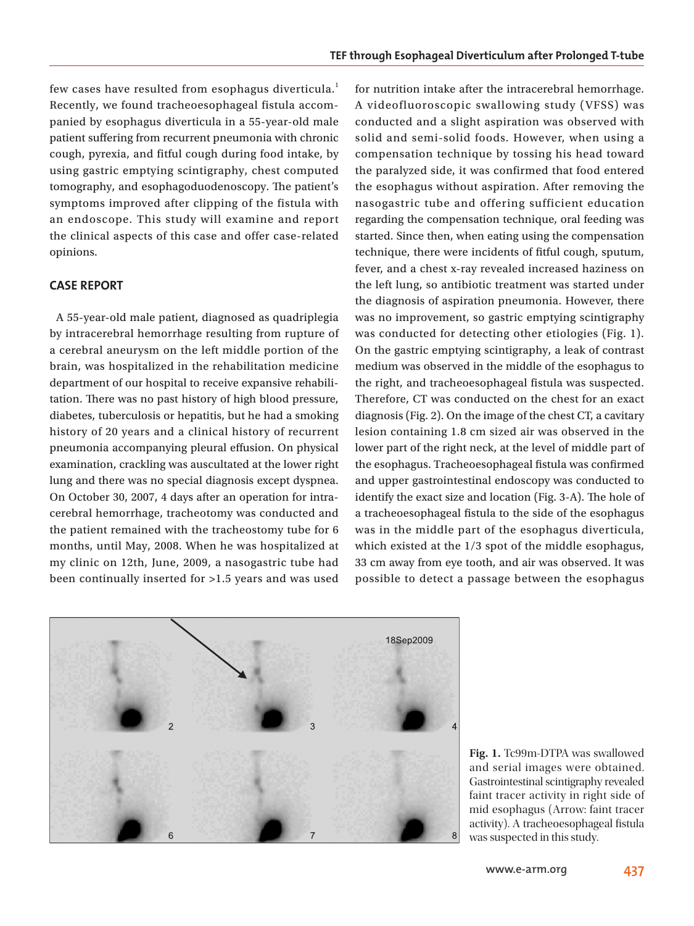few cases have resulted from esophagus diverticula.<sup>1</sup> Recently, we found tracheoesophageal fistula accompanied by esophagus diverticula in a 55-year-old male patient suffering from recurrent pneumonia with chronic cough, pyrexia, and fitful cough during food intake, by using gastric emptying scintigraphy, chest computed tomography, and esophagoduodenoscopy. The patient's symptoms improved after clipping of the fistula with an endoscope. This study will examine and report the clinical aspects of this case and offer case-related opinions.

#### **CASE REPORT**

 A 55-year-old male patient, diagnosed as quadriplegia by intracerebral hemorrhage resulting from rupture of a cerebral aneurysm on the left middle portion of the brain, was hospitalized in the rehabilitation medicine department of our hospital to receive expansive rehabilitation. There was no past history of high blood pressure, diabetes, tuberculosis or hepatitis, but he had a smoking history of 20 years and a clinical history of recurrent pneumonia accompanying pleural effusion. On physical examination, crackling was auscultated at the lower right lung and there was no special diagnosis except dyspnea. On October 30, 2007, 4 days after an operation for intracerebral hemorrhage, tracheotomy was conducted and the patient remained with the tracheostomy tube for 6 months, until May, 2008. When he was hospitalized at my clinic on 12th, June, 2009, a nasogastric tube had been continually inserted for >1.5 years and was used for nutrition intake after the intracerebral hemorrhage. A videofluoroscopic swallowing study (VFSS) was conducted and a slight aspiration was observed with solid and semi-solid foods. However, when using a compensation technique by tossing his head toward the paralyzed side, it was confirmed that food entered the esophagus without aspiration. After removing the nasogastric tube and offering sufficient education regarding the compensation technique, oral feeding was started. Since then, when eating using the compensation technique, there were incidents of fitful cough, sputum, fever, and a chest x-ray revealed increased haziness on the left lung, so antibiotic treatment was started under the diagnosis of aspiration pneumonia. However, there was no improvement, so gastric emptying scintigraphy was conducted for detecting other etiologies (Fig. 1). On the gastric emptying scintigraphy, a leak of contrast medium was observed in the middle of the esophagus to the right, and tracheoesophageal fistula was suspected. Therefore, CT was conducted on the chest for an exact diagnosis (Fig. 2). On the image of the chest CT, a cavitary lesion containing 1.8 cm sized air was observed in the lower part of the right neck, at the level of middle part of the esophagus. Tracheoesophageal fistula was confirmed and upper gastrointestinal endoscopy was conducted to identify the exact size and location (Fig. 3-A). The hole of a tracheoesophageal fistula to the side of the esophagus was in the middle part of the esophagus diverticula, which existed at the 1/3 spot of the middle esophagus, 33 cm away from eye tooth, and air was observed. It was possible to detect a passage between the esophagus



**Fig. 1.** Tc99m-DTPA was swallowed and serial images were obtained. Gastrointestinal scintigraphy revealed faint tracer activity in right side of mid esophagus (Arrow: faint tracer activity). A tracheoesophageal fistula was suspected in this study.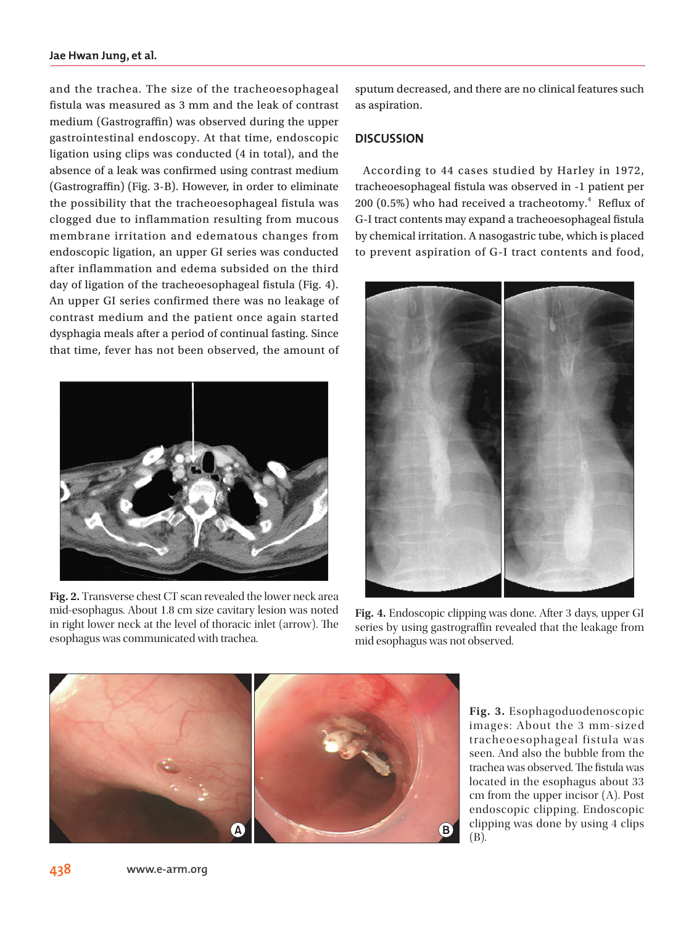and the trachea. The size of the tracheoesophageal fistula was measured as 3 mm and the leak of contrast medium (Gastrograffin) was observed during the upper gastrointestinal endoscopy. At that time, endoscopic ligation using clips was conducted (4 in total), and the absence of a leak was confirmed using contrast medium  $(Gastrograffin)$  (Fig. 3-B). However, in order to eliminate the possibility that the tracheoesophageal fistula was clogged due to inflammation resulting from mucous membrane irritation and edematous changes from endoscopic ligation, an upper GI series was conducted after inflammation and edema subsided on the third day of ligation of the tracheoesophageal fistula (Fig. 4). An upper GI series confirmed there was no leakage of contrast medium and the patient once again started dysphagia meals after a period of continual fasting. Since that time, fever has not been observed, the amount of



**Fig. 2.** Transverse chest CT scan revealed the lower neck area mid-esophagus. About 1.8 cm size cavitary lesion was noted in right lower neck at the level of thoracic inlet (arrow). The esophagus was communicated with trachea.

sputum decreased, and there are no clinical features such as aspiration.

#### **DISCUSSION**

 According to 44 cases studied by Harley in 1972, tracheoesophageal fistula was observed in -1 patient per  $200$   $(0.5\%)$  who had received a tracheotomy. $^{4}$  Reflux of G-I tract contents may expand a tracheoesophageal fistula by chemical irritation. A nasogastric tube, which is placed to prevent aspiration of G-I tract contents and food,



**Fig. 4.** Endoscopic clipping was done. After 3 days, upper GI series by using gastrograffin revealed that the leakage from mid esophagus was not observed.



**Fig. 3.** Esophagoduodenoscopic images: About the 3 mm-size d tracheoesophageal fistula was seen. And also the bubble from the trachea was observed. The fistula was located in the esophagus about 33 cm from the upper incisor (A). Post endoscopic clipping. Endoscopic clipping was done by using 4 clips (B).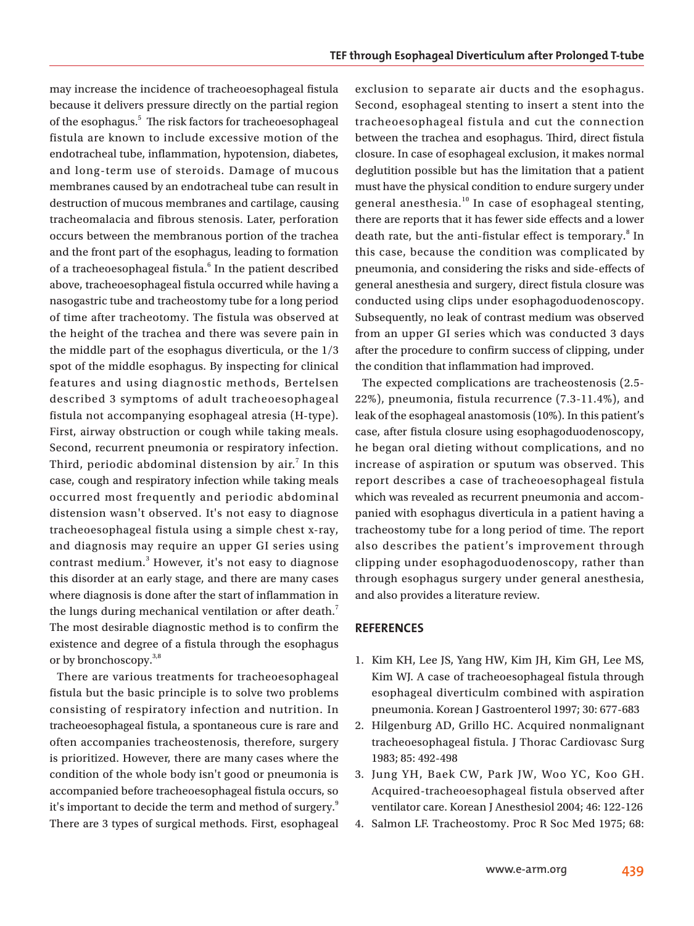may increase the incidence of tracheoesophageal fistula because it delivers pressure directly on the partial region of the esophagus.<sup>5</sup> The risk factors for tracheoesophageal fistula are known to include excessive motion of the endotracheal tube, inflammation, hypotension, diabetes, and long-term use of steroids. Damage of mucous membranes caused by an endotracheal tube can result in destruction of mucous membranes and cartilage, causing tracheomalacia and fibrous stenosis. Later, perforation occurs between the membranous portion of the trachea and the front part of the esophagus, leading to formation of a tracheoesophageal fistula.<sup>6</sup> In the patient described above, tracheoesophageal fistula occurred while having a nasogastric tube and tracheostomy tube for a long period of time after tracheotomy. The fistula was observed at the height of the trachea and there was severe pain in the middle part of the esophagus diverticula, or the 1/3 spot of the middle esophagus. By inspecting for clinical features and using diagnostic methods, Bertelsen described 3 symptoms of adult tracheoesophageal fistula not accompanying esophageal atresia (H-type). First, airway obstruction or cough while taking meals. Second, recurrent pneumonia or respiratory infection. Third, periodic abdominal distension by air. $^7$  In this case, cough and respiratory infection while taking meals occurred most frequently and periodic abdominal distension wasn't observed. It's not easy to diagnose tracheoesophageal fistula using a simple chest x-ray, and diagnosis may require an upper GI series using contrast medium.<sup>3</sup> However, it's not easy to diagnose this disorder at an early stage, and there are many cases where diagnosis is done after the start of inflammation in the lungs during mechanical ventilation or after death.<sup>7</sup> The most desirable diagnostic method is to confirm the existence and degree of a fistula through the esophagus or by bronchoscopy.<sup>3,8</sup>

 There are various treatments for tracheoesophageal fistula but the basic principle is to solve two problems consisting of respiratory infection and nutrition. In tracheoesophageal fistula, a spontaneous cure is rare and often accompanies tracheostenosis, therefore, surgery is prioritized. However, there are many cases where the condition of the whole body isn't good or pneumonia is accompanied before tracheoesophageal fistula occurs, so it's important to decide the term and method of surgery.<sup>9</sup> There are 3 types of surgical methods. First, esophageal

exclusion to separate air ducts and the esophagus. Second, esophageal stenting to insert a stent into the tracheoesophageal fistula and cut the connection between the trachea and esophagus. Third, direct fistula closure. In case of esophageal exclusion, it makes normal deglutition possible but has the limitation that a patient must have the physical condition to endure surgery under general anesthesia.<sup>10</sup> In case of esophageal stenting, there are reports that it has fewer side effects and a lower death rate, but the anti-fistular effect is temporary.<sup>8</sup> In this case, because the condition was complicated by pneumonia, and considering the risks and side-effects of general anesthesia and surgery, direct fistula closure was conducted using clips under esophagoduodenoscopy. Subsequently, no leak of contrast medium was observed from an upper GI series which was conducted 3 days after the procedure to confirm success of clipping, under the condition that inflammation had improved.

 The expected complications are tracheostenosis (2.5- 22%), pneumonia, fistula recurrence (7.3-11.4%), and leak of the esophageal anastomosis (10%). In this patient's case, after fistula closure using esophagoduodenoscopy, he began oral dieting without complications, and no increase of aspiration or sputum was observed. This report describes a case of tracheoesophageal fistula which was revealed as recurrent pneumonia and accompanied with esophagus diverticula in a patient having a tracheostomy tube for a long period of time. The report also describes the patient's improvement through clipping under esophagoduodenoscopy, rather than through esophagus surgery under general anesthesia, and also provides a literature review.

#### **REFERENCES**

- 1. Kim KH, Lee JS, Yang HW, Kim JH, Kim GH, Lee MS, Kim WJ. A case of tracheoesophageal fistula through esophageal diverticulm combined with aspiration pneumonia. Korean J Gastroenterol 1997; 30: 677-683
- 2. Hilgenburg AD, Grillo HC. Acquired nonmalignant tracheoesophageal fistula. J Thorac Cardiovasc Surg 1983; 85: 492-498
- 3. Jung YH, Baek CW, Park JW, Woo YC, Koo GH. Acquired-tracheoesophageal fistula observed after ventilator care. Korean J Anesthesiol 2004; 46: 122-126
- 4. Salmon LF. Tracheostomy. Proc R Soc Med 1975; 68: